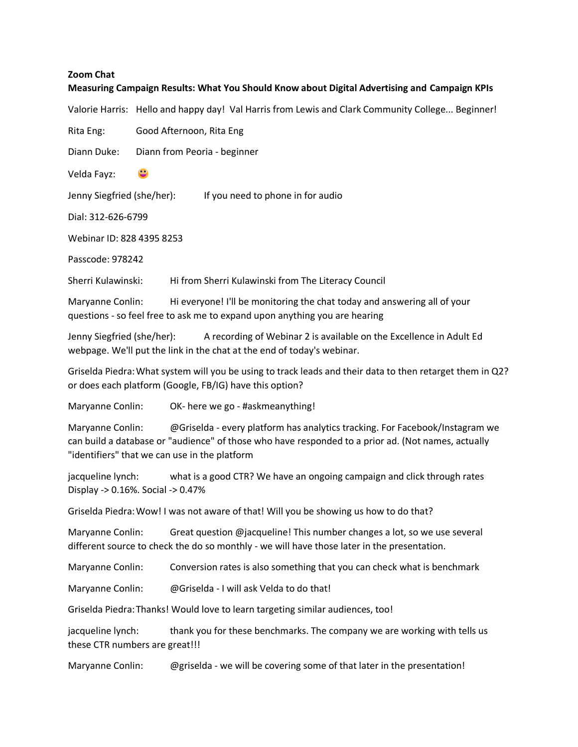## **Zoom Chat**

## **Measuring Campaign Results: What You Should Know about Digital Advertising and Campaign KPIs**

Valorie Harris: Hello and happy day! Val Harris from Lewis and Clark Community College... Beginner!

Rita Eng: Good Afternoon, Rita Eng

Diann Duke: Diann from Peoria - beginner

Velda Fayz:

Jenny Siegfried (she/her): If you need to phone in for audio

Dial: 312-626-6799

Webinar ID: 828 4395 8253

Passcode: 978242

Sherri Kulawinski: Hi from Sherri Kulawinski from The Literacy Council

Maryanne Conlin: Hi everyone! I'll be monitoring the chat today and answering all of your questions - so feel free to ask me to expand upon anything you are hearing

Jenny Siegfried (she/her): A recording of Webinar 2 is available on the Excellence in Adult Ed webpage. We'll put the link in the chat at the end of today's webinar.

Griselda Piedra:What system will you be using to track leads and their data to then retarget them in Q2? or does each platform (Google, FB/IG) have this option?

Maryanne Conlin: OK- here we go - #askmeanything!

Maryanne Conlin: @Griselda - every platform has analytics tracking. For Facebook/Instagram we can build a database or "audience" of those who have responded to a prior ad. (Not names, actually "identifiers" that we can use in the platform

jacqueline lynch: what is a good CTR? We have an ongoing campaign and click through rates Display -> 0.16%. Social -> 0.47%

Griselda Piedra:Wow! I was not aware of that! Will you be showing us how to do that?

Maryanne Conlin: Great question @jacqueline! This number changes a lot, so we use several different source to check the do so monthly - we will have those later in the presentation.

Maryanne Conlin: Conversion rates is also something that you can check what is benchmark

Maryanne Conlin: @Griselda - I will ask Velda to do that!

Griselda Piedra:Thanks! Would love to learn targeting similar audiences, too!

jacqueline lynch: thank you for these benchmarks. The company we are working with tells us these CTR numbers are great!!!

Maryanne Conlin: @griselda - we will be covering some of that later in the presentation!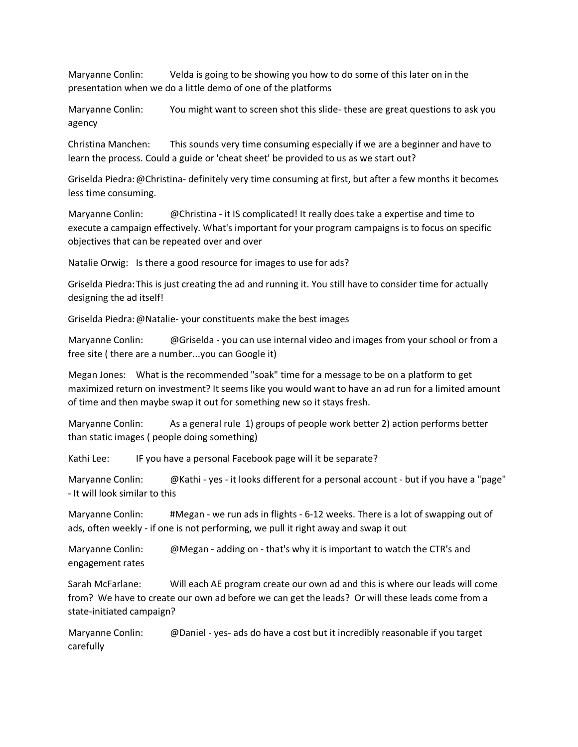Maryanne Conlin: Velda is going to be showing you how to do some of this later on in the presentation when we do a little demo of one of the platforms

Maryanne Conlin: You might want to screen shot this slide- these are great questions to ask you agency

Christina Manchen: This sounds very time consuming especially if we are a beginner and have to learn the process. Could a guide or 'cheat sheet' be provided to us as we start out?

Griselda Piedra:@Christina- definitely very time consuming at first, but after a few months it becomes less time consuming.

Maryanne Conlin: @Christina - it IS complicated! It really does take a expertise and time to execute a campaign effectively. What's important for your program campaigns is to focus on specific objectives that can be repeated over and over

Natalie Orwig: Is there a good resource for images to use for ads?

Griselda Piedra:This is just creating the ad and running it. You still have to consider time for actually designing the ad itself!

Griselda Piedra:@Natalie- your constituents make the best images

Maryanne Conlin: @Griselda - you can use internal video and images from your school or from a free site ( there are a number...you can Google it)

Megan Jones: What is the recommended "soak" time for a message to be on a platform to get maximized return on investment? It seems like you would want to have an ad run for a limited amount of time and then maybe swap it out for something new so it stays fresh.

Maryanne Conlin: As a general rule 1) groups of people work better 2) action performs better than static images ( people doing something)

Kathi Lee: IF you have a personal Facebook page will it be separate?

Maryanne Conlin: @Kathi - yes - it looks different for a personal account - but if you have a "page" - It will look similar to this

Maryanne Conlin: #Megan - we run ads in flights - 6-12 weeks. There is a lot of swapping out of ads, often weekly - if one is not performing, we pull it right away and swap it out

Maryanne Conlin: @Megan - adding on - that's why it is important to watch the CTR's and engagement rates

Sarah McFarlane: Will each AE program create our own ad and this is where our leads will come from? We have to create our own ad before we can get the leads? Or will these leads come from a state-initiated campaign?

Maryanne Conlin: @Daniel - yes- ads do have a cost but it incredibly reasonable if you target carefully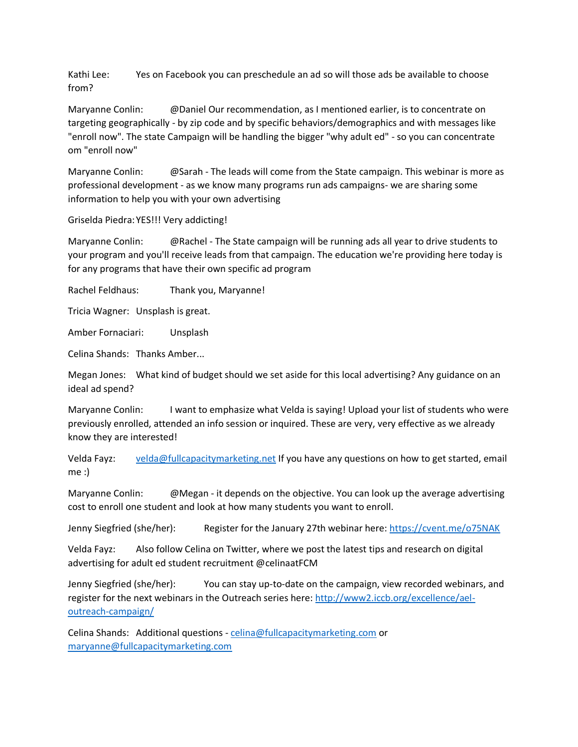Kathi Lee: Yes on Facebook you can preschedule an ad so will those ads be available to choose from?

Maryanne Conlin: @Daniel Our recommendation, as I mentioned earlier, is to concentrate on targeting geographically - by zip code and by specific behaviors/demographics and with messages like "enroll now". The state Campaign will be handling the bigger "why adult ed" - so you can concentrate om "enroll now"

Maryanne Conlin: @Sarah - The leads will come from the State campaign. This webinar is more as professional development - as we know many programs run ads campaigns- we are sharing some information to help you with your own advertising

Griselda Piedra:YES!!! Very addicting!

Maryanne Conlin: @Rachel - The State campaign will be running ads all year to drive students to your program and you'll receive leads from that campaign. The education we're providing here today is for any programs that have their own specific ad program

Rachel Feldhaus: Thank you, Maryanne!

Tricia Wagner: Unsplash is great.

Amber Fornaciari: Unsplash

Celina Shands: Thanks Amber...

Megan Jones: What kind of budget should we set aside for this local advertising? Any guidance on an ideal ad spend?

Maryanne Conlin: I want to emphasize what Velda is saying! Upload your list of students who were previously enrolled, attended an info session or inquired. These are very, very effective as we already know they are interested!

Velda Fayz: [velda@fullcapacitymarketing.net](mailto:velda@fullcapacitymarketing.net) If you have any questions on how to get started, email me :)

Maryanne Conlin: @Megan - it depends on the objective. You can look up the average advertising cost to enroll one student and look at how many students you want to enroll.

Jenny Siegfried (she/her): Register for the January 27th webinar here:<https://cvent.me/o75NAK>

Velda Fayz: Also follow Celina on Twitter, where we post the latest tips and research on digital advertising for adult ed student recruitment @celinaatFCM

Jenny Siegfried (she/her): You can stay up-to-date on the campaign, view recorded webinars, and register for the next webinars in the Outreach series here: [http://www2.iccb.org/excellence/ael](http://www2.iccb.org/excellence/ael-outreach-campaign/)[outreach-campaign/](http://www2.iccb.org/excellence/ael-outreach-campaign/)

Celina Shands: Additional questions - [celina@fullcapacitymarketing.com](mailto:celina@fullcapacitymarketing.com) or [maryanne@fullcapacitymarketing.com](mailto:maryanne@fullcapacitymarketing.com)